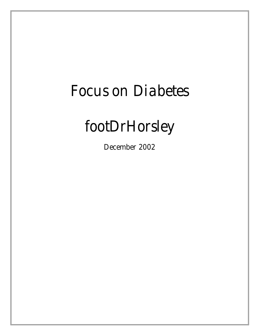# *Focus on Diabetes*

# *footDrHorsley*

*December 2002*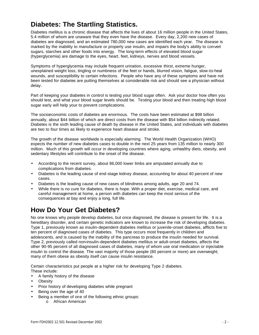### **Diabetes: The Startling Statistics.**

Diabetes mellitus is a chronic disease that affects the lives of about 16 million people in the United States, 5.4 million of whom are unaware that they even have the disease. Every day, 2,200 new cases of diabetes are diagnosed, and an estimated 780,000 new cases are identified each year. The disease is marked by the inability to manufacture or properly use insulin, and impairs the body's ability to convert sugars, starches and other foods into energy. The long-term effects of elevated blood sugar (hyperglycemia) are damage to the eyes, heart, feet, kidneys, nerves and blood vessels.

Symptoms of hyperglycemia may include frequent urination, excessive thirst, extreme hunger, unexplained weight loss, tingling or numbness of the feet or hands, blurred vision, fatigue, slow-to-heal wounds, and susceptibility to certain infections. People who have any of these symptoms and have not been tested for diabetes are putting themselves at considerable risk and should see a physician without delay.

Part of keeping your diabetes in control is testing your blood sugar often. Ask your doctor how often you should test, and what your blood sugar levels should be. Testing your blood and then treating high blood sugar early will help your to prevent complications.

The socioeconomic costs of diabetes are enormous. The costs have been estimated at \$98 billion annually, about \$44 billion of which are direct costs from the disease with \$54 billion indirectly related. Diabetes is the sixth leading cause of death by disease in the United States, and individuals with diabetes are two to four times as likely to experience heart disease and stroke.

The growth of the disease worldwide is especially alarming. The World Health Organization (WHO) expects the number of new diabetes cases to double in the next 25 years from 135 million to nearly 300 million. Much of this growth will occur in developing countries where aging, unhealthy diets, obesity, and sedentary lifestyles will contribute to the onset of the disease.

- According to the recent survey, about 86,000 lower limbs are amputated annually due to complications from diabetes.
- Diabetes is the leading cause of end-stage kidney disease, accounting for about 40 percent of new cases.
- Diabetes is the leading cause of new cases of blindness among adults, age 20 and 74.
- While there is no cure for diabetes, there is hope. With a proper diet, exercise, medical care, and careful management at home, a person with diabetes can keep the most serious of the consequences at bay and enjoy a long, full life.

#### **How Do Your Get Diabetes?**

No one knows why people develop diabetes, but once diagnosed, the disease is present for life. It is a hereditary disorder, and certain genetic indicators are known to increase the risk of developing diabetes. Type 1, previously known as insulin-dependent diabetes mellitus or juvenile-onset diabetes, afflicts five to ten percent of diagnosed cases of diabetes. This type occurs most frequently in children and adolescents, and is caused by the inability of the pancreas to produce the insulin needed for survival. Type 2, previously called non-insulin-dependent diabetes mellitus or adult-onset diabetes, affects the other 90-95 percent of all diagnosed cases of diabetes, many of whom use oral medication or injectable insulin to control the disease. The vast majority of those people (80 percent or more) are overweight; many of them obese as obesity itself can cause insulin resistance.

Certain characteristics put people at a higher risk for developing Type 2 diabetes. These include:

- A family history of the disease
- **Obesity**
- Prior history of developing diabetes while pregnant
- Being over the age of 40
- Being a member of one of the following ethnic groups:
	- o African American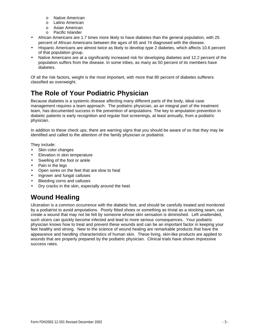- o Native American
- o Latino American
- o Asian American
- o Pacific Islander
- African Americans are 1.7 times more likely to have diabetes than the general population, with 25 percent of African Americans between the ages of 65 and 74 diagnosed with the disease.
- Hispanic Americans are almost twice as likely to develop type 2 diabetes, which affects 10.6 percent of that population group.
- Native Americans are at a significantly increased risk for developing diabetes and 12.2 percent of the population suffers from the disease. In some tribes, as many as 50 percent of its members have diabetes.

Of all the risk factors, weight is the most important, with more that 80 percent of diabetes sufferers classified as overweight.

# **The Role of Your Podiatric Physician**

Because diabetes is a systemic disease affecting many different parts of the body, ideal case management requires a team approach. The podiatric physician, as an integral part of the treatment team, has documented success in the prevention of amputations. The key to amputation prevention in diabetic patients is early recognition and regular foot screenings, at least annually, from a podiatric physician.

In addition to these check ups, there are warning signs that you should be aware of so that they may be identified and called to the attention of the family physician or podiatrist.

They include:

- Skin color changes
- Elevation in skin temperature
- Swelling of the foot or ankle
- Pain in the legs
- Open sores on the feet that are slow to heal
- Ingrown and fungal calluses
- Bleeding corns and calluses
- Dry cracks in the skin, especially around the heel.

# **Wound Healing**

Ulceration is a common occurrence with the diabetic foot, and should be carefully treated and monitored by a podiatrist to avoid amputations. Poorly fitted shoes or something as trivial as a stocking seam, can create a wound that may not be felt by someone whose skin sensation is diminished. Left unattended, such ulcers can quickly become infected and lead to more serious consequences. Your podiatric physician knows how to treat and prevent these wounds and can be an important factor in keeping your feet healthy and strong. New to the science of wound healing are remarkable products that have the appearance and handling characteristics of human skin. These living, skin-like products are applied to wounds that are properly prepared by the podiatric physician. Clinical trials have shown impressive success rates.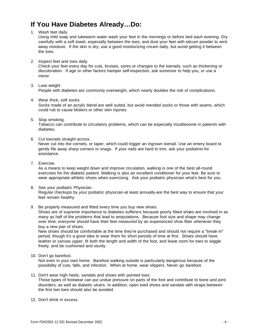#### **If You Have Diabetes Already…Do:**

1. Wash feet daily.

Using mild soap and lukewarm water wash your feet in the mornings or before bed each evening. Dry carefully with a soft towel, especially between the toes, and dust your feet with talcum powder to wick away moisture. If the skin is dry, use a good moisturizing cream daily, but avoid getting it between the toes.

2. Inspect feet and toes daily.

Check your feet every day for cuts, bruises, sores or changes to the toenails, such as thickening or discoloration. If age or other factors hamper self-inspection, ask someone to help you, or use a mirror.

- 3. Lose weight People with diabetes are commonly overweight, which nearly doubles the risk of complications.
- 4. Wear thick, soft socks.

Socks made of an acrylic blend are well suited, but avoid mended socks or those with seams, which could rub to cause blisters or other skin injuries.

5. Stop smoking.

Tobacco can contribute to circulatory problems, which can be especially troublesome in patients with diabetes.

6. Cut toenails straight across.

Never cut into the cornets, or taper, which could trigger an ingrown toenail. Use an emery board to gently file away sharp corners or snags. If your nails are hard to trim, ask your podiatrist for assistance.

7. Exercise.

As a means to keep weight down and improve circulation, walking is one of the best all-round exercises for the diabetic patient. Walking is also an excellent conditioner for your feet. Be sure to wear appropriate athletic shoes when exercising. Ask your podiatric physician what's best for you.

- 8. See your podiatric Physician. Regular checkups by your podiatric physician-at least annually-are the best way to ensure that your feet remain healthy.
- 9. Be properly measured and fitted every time you buy new shoes.

Shoes are of supreme importance to diabetes sufferers because poorly fitted shoes are involved in as many as half of the problems that lead to amputations. Because foot size and shape may change over time, everyone should have their feet measured by an experienced shoe fitter whenever they buy a new pair of shoes.

New shoes should be comfortable at the time they're purchased and should not require a "break-in" period, though it's a good idea to wear them for short periods of time at first. Shoes should have leather or canvas upper, fit both the length and width of the foot, and leave room for toes to wiggle freely, and be cushioned and sturdy.

10. Don't go barefoot.

Not even in your own home. Barefoot walking outside is particularly dangerous because of the possibility of cuts, falls, and infection. When at home, wear slippers. Never go barefoot.

11. Don't wear high heels, sandals and shoes with pointed toes.

Those types of footwear can put undue pressure on parts of the foot and contribute to bone and joint disorders, as well as diabetic ulcers. In addition, open toed shoes and sandals with straps between the first two toes should also be avoided.

12. Don't drink in excess.